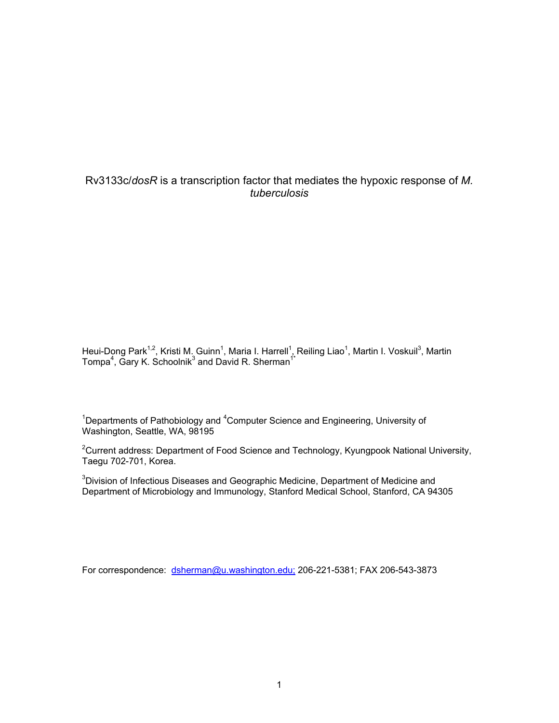# Rv3133c/*dosR* is a transcription factor that mediates the hypoxic response of *M. tuberculosis*

Heui-Dong Park<sup>1,2</sup>, Kristi M. Guinn<sup>1</sup>, Maria I. Harrell<sup>1</sup>, Reiling Liao<sup>1</sup>, Martin I. Voskuil<sup>3</sup>, Martin Tompa<sup>4</sup>, Gary K. Schoolnik<sup>3</sup> and David R. Sherman<sup>1\*</sup>

<sup>1</sup>Departments of Pathobiology and <sup>4</sup>Computer Science and Engineering, University of Washington, Seattle, WA, 98195

<sup>2</sup>Current address: Department of Food Science and Technology, Kyungpook National University, Taegu 702-701, Korea.

 $3$ Division of Infectious Diseases and Geographic Medicine, Department of Medicine and Department of Microbiology and Immunology, Stanford Medical School, Stanford, CA 94305

For correspondence: [dsherman@u.washington.edu;](mailto:dsherman@u.washington.edu;) 206-221-5381; FAX 206-543-3873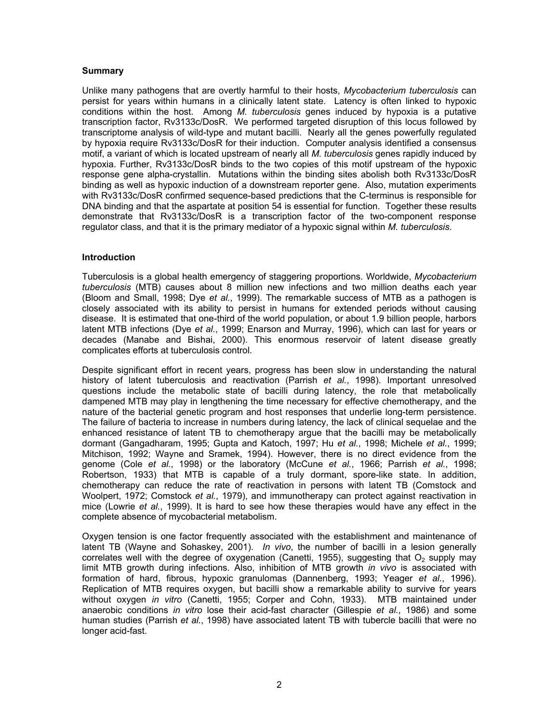## **Summary**

Unlike many pathogens that are overtly harmful to their hosts, *Mycobacterium tuberculosis* can persist for years within humans in a clinically latent state. Latency is often linked to hypoxic conditions within the host. Among *M. tuberculosis* genes induced by hypoxia is a putative transcription factor, Rv3133c/DosR. We performed targeted disruption of this locus followed by transcriptome analysis of wild-type and mutant bacilli. Nearly all the genes powerfully regulated by hypoxia require Rv3133c/DosR for their induction. Computer analysis identified a consensus motif, a variant of which is located upstream of nearly all *M. tuberculosis* genes rapidly induced by hypoxia. Further, Rv3133c/DosR binds to the two copies of this motif upstream of the hypoxic response gene alpha-crystallin. Mutations within the binding sites abolish both Rv3133c/DosR binding as well as hypoxic induction of a downstream reporter gene. Also, mutation experiments with Rv3133c/DosR confirmed sequence-based predictions that the C-terminus is responsible for DNA binding and that the aspartate at position 54 is essential for function. Together these results demonstrate that Rv3133c/DosR is a transcription factor of the two-component response regulator class, and that it is the primary mediator of a hypoxic signal within *M. tuberculosis*.

### **Introduction**

Tuberculosis is a global health emergency of staggering proportions. Worldwide, *Mycobacterium tuberculosis* (MTB) causes about 8 million new infections and two million deaths each year (Bloom and Small, 1998; Dye *et al.*, 1999). The remarkable success of MTB as a pathogen is closely associated with its ability to persist in humans for extended periods without causing disease. It is estimated that one-third of the world population, or about 1.9 billion people, harbors latent MTB infections (Dye *et al.*, 1999; Enarson and Murray, 1996), which can last for years or decades (Manabe and Bishai, 2000). This enormous reservoir of latent disease greatly complicates efforts at tuberculosis control.

Despite significant effort in recent years, progress has been slow in understanding the natural history of latent tuberculosis and reactivation (Parrish *et al.*, 1998). Important unresolved questions include the metabolic state of bacilli during latency, the role that metabolically dampened MTB may play in lengthening the time necessary for effective chemotherapy, and the nature of the bacterial genetic program and host responses that underlie long-term persistence. The failure of bacteria to increase in numbers during latency, the lack of clinical sequelae and the enhanced resistance of latent TB to chemotherapy argue that the bacilli may be metabolically dormant (Gangadharam, 1995; Gupta and Katoch, 1997; Hu *et al.*, 1998; Michele *et al.*, 1999; Mitchison, 1992; Wayne and Sramek, 1994). However, there is no direct evidence from the genome (Cole *et al.*, 1998) or the laboratory (McCune *et al.*, 1966; Parrish *et al.*, 1998; Robertson, 1933) that MTB is capable of a truly dormant, spore-like state. In addition, chemotherapy can reduce the rate of reactivation in persons with latent TB (Comstock and Woolpert, 1972; Comstock *et al.*, 1979), and immunotherapy can protect against reactivation in mice (Lowrie *et al.*, 1999). It is hard to see how these therapies would have any effect in the complete absence of mycobacterial metabolism.

Oxygen tension is one factor frequently associated with the establishment and maintenance of latent TB (Wayne and Sohaskey, 2001). *In vivo*, the number of bacilli in a lesion generally correlates well with the degree of oxygenation (Canetti, 1955), suggesting that  $O<sub>2</sub>$  supply may limit MTB growth during infections. Also, inhibition of MTB growth *in vivo* is associated with formation of hard, fibrous, hypoxic granulomas (Dannenberg, 1993; Yeager *et al.*, 1996). Replication of MTB requires oxygen, but bacilli show a remarkable ability to survive for years without oxygen *in vitro* (Canetti, 1955; Corper and Cohn, 1933). MTB maintained under anaerobic conditions *in vitro* lose their acid-fast character (Gillespie *et al.*, 1986) and some human studies (Parrish *et al.*, 1998) have associated latent TB with tubercle bacilli that were no longer acid-fast.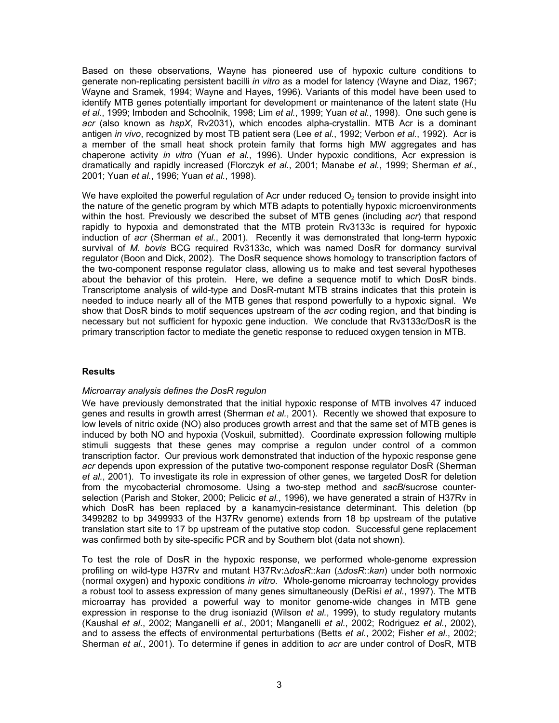Based on these observations, Wayne has pioneered use of hypoxic culture conditions to generate non-replicating persistent bacilli *in vitro* as a model for latency (Wayne and Diaz, 1967; Wayne and Sramek, 1994; Wayne and Hayes, 1996)*.* Variants of this model have been used to identify MTB genes potentially important for development or maintenance of the latent state (Hu *et al.*, 1999; Imboden and Schoolnik, 1998; Lim *et al.*, 1999; Yuan *et al.*, 1998). One such gene is *acr* (also known as *hspX*, Rv2031), which encodes alpha-crystallin. MTB Acr is a dominant antigen *in vivo*, recognized by most TB patient sera (Lee *et al.*, 1992; Verbon *et al.*, 1992). Acr is a member of the small heat shock protein family that forms high MW aggregates and has chaperone activity *in vitro* (Yuan *et al.*, 1996). Under hypoxic conditions, Acr expression is dramatically and rapidly increased (Florczyk *et al.*, 2001; Manabe *et al.*, 1999; Sherman *et al.*, 2001; Yuan *et al.*, 1996; Yuan *et al.*, 1998).

We have exploited the powerful regulation of Acr under reduced  $O<sub>2</sub>$  tension to provide insight into the nature of the genetic program by which MTB adapts to potentially hypoxic microenvironments within the host. Previously we described the subset of MTB genes (including *acr*) that respond rapidly to hypoxia and demonstrated that the MTB protein Rv3133c is required for hypoxic induction of *acr* (Sherman *et al.*, 2001). Recently it was demonstrated that long-term hypoxic survival of *M. bovis* BCG required Rv3133c, which was named DosR for dormancy survival regulator (Boon and Dick, 2002). The DosR sequence shows homology to transcription factors of the two-component response regulator class, allowing us to make and test several hypotheses about the behavior of this protein. Here, we define a sequence motif to which DosR binds. Transcriptome analysis of wild-type and DosR-mutant MTB strains indicates that this protein is needed to induce nearly all of the MTB genes that respond powerfully to a hypoxic signal. We show that DosR binds to motif sequences upstream of the *acr* coding region, and that binding is necessary but not sufficient for hypoxic gene induction. We conclude that Rv3133c/DosR is the primary transcription factor to mediate the genetic response to reduced oxygen tension in MTB.

### **Results**

### *Microarray analysis defines the DosR regulon*

We have previously demonstrated that the initial hypoxic response of MTB involves 47 induced genes and results in growth arrest (Sherman *et al.*, 2001). Recently we showed that exposure to low levels of nitric oxide (NO) also produces growth arrest and that the same set of MTB genes is induced by both NO and hypoxia (Voskuil, submitted). Coordinate expression following multiple stimuli suggests that these genes may comprise a regulon under control of a common transcription factor. Our previous work demonstrated that induction of the hypoxic response gene *acr* depends upon expression of the putative two-component response regulator DosR (Sherman *et al.*, 2001). To investigate its role in expression of other genes, we targeted DosR for deletion from the mycobacterial chromosome. Using a two-step method and *sacB*/sucrose counterselection (Parish and Stoker, 2000; Pelicic *et al.*, 1996), we have generated a strain of H37Rv in which DosR has been replaced by a kanamycin-resistance determinant. This deletion (bp 3499282 to bp 3499933 of the H37Rv genome) extends from 18 bp upstream of the putative translation start site to 17 bp upstream of the putative stop codon. Successful gene replacement was confirmed both by site-specific PCR and by Southern blot (data not shown).

To test the role of DosR in the hypoxic response, we performed whole-genome expression profiling on wild-type H37Rv and mutant H37Rv:∆*dosR*::*kan* (∆*dosR*::*kan*) under both normoxic (normal oxygen) and hypoxic conditions *in vitro*. Whole-genome microarray technology provides a robust tool to assess expression of many genes simultaneously (DeRisi *et al.*, 1997). The MTB microarray has provided a powerful way to monitor genome-wide changes in MTB gene expression in response to the drug isoniazid (Wilson *et al.*, 1999), to study regulatory mutants (Kaushal *et al.*, 2002; Manganelli *et al.*, 2001; Manganelli *et al.*, 2002; Rodriguez *et al.*, 2002), and to assess the effects of environmental perturbations (Betts *et al.*, 2002; Fisher *et al.*, 2002; Sherman *et al.*, 2001). To determine if genes in addition to *acr* are under control of DosR, MTB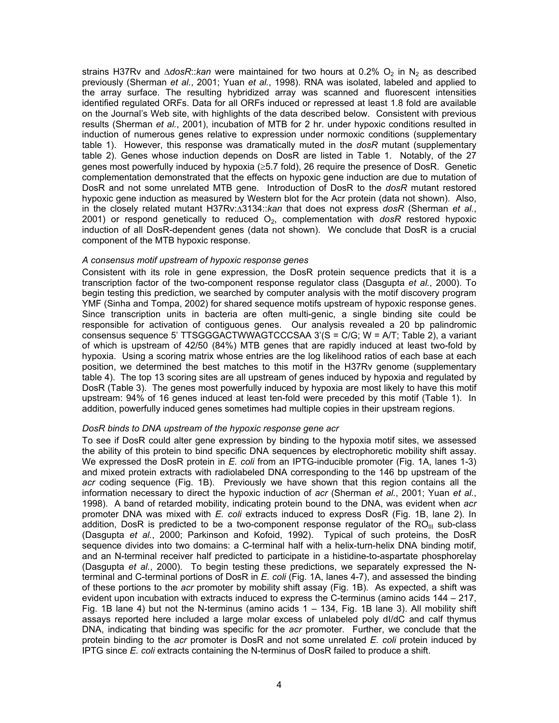strains H37Rv and ∆*dosR::kan* were maintained for two hours at 0.2% O<sub>2</sub> in N<sub>2</sub> as described previously (Sherman *et al.*, 2001; Yuan *et al.*, 1998). RNA was isolated, labeled and applied to the array surface. The resulting hybridized array was scanned and fluorescent intensities identified regulated ORFs. Data for all ORFs induced or repressed at least 1.8 fold are available on the Journal's Web site, with highlights of the data described below. Consistent with previous results (Sherman *et al.*, 2001), incubation of MTB for 2 hr. under hypoxic conditions resulted in induction of numerous genes relative to expression under normoxic conditions (supplementary table 1). However, this response was dramatically muted in the *dosR* mutant (supplementary table 2). Genes whose induction depends on DosR are listed in Table 1. Notably, of the 27 genes most powerfully induced by hypoxia (≥5.7 fold), 26 require the presence of DosR. Genetic complementation demonstrated that the effects on hypoxic gene induction are due to mutation of DosR and not some unrelated MTB gene. Introduction of DosR to the *dosR* mutant restored hypoxic gene induction as measured by Western blot for the Acr protein (data not shown). Also, in the closely related mutant H37Rv:∆3134::*kan* that does not express *dosR* (Sherman *et al.*, 2001) or respond genetically to reduced O<sub>2</sub>, complementation with *dosR* restored hypoxic induction of all DosR-dependent genes (data not shown). We conclude that DosR is a crucial component of the MTB hypoxic response.

### *A consensus motif upstream of hypoxic response genes*

Consistent with its role in gene expression, the DosR protein sequence predicts that it is a transcription factor of the two-component response regulator class (Dasgupta *et al.*, 2000). To begin testing this prediction, we searched by computer analysis with the motif discovery program YMF (Sinha and Tompa, 2002) for shared sequence motifs upstream of hypoxic response genes. Since transcription units in bacteria are often multi-genic, a single binding site could be responsible for activation of contiguous genes. Our analysis revealed a 20 bp palindromic consensus sequence 5' TTSGGGACTWWAGTCCCSAA 3'(S = C/G; W = A/T; Table 2), a variant of which is upstream of 42/50 (84%) MTB genes that are rapidly induced at least two-fold by hypoxia. Using a scoring matrix whose entries are the log likelihood ratios of each base at each position, we determined the best matches to this motif in the H37Rv genome (supplementary table 4). The top 13 scoring sites are all upstream of genes induced by hypoxia and regulated by DosR (Table 3). The genes most powerfully induced by hypoxia are most likely to have this motif upstream: 94% of 16 genes induced at least ten-fold were preceded by this motif (Table 1). In addition, powerfully induced genes sometimes had multiple copies in their upstream regions.

### *DosR binds to DNA upstream of the hypoxic response gene acr*

To see if DosR could alter gene expression by binding to the hypoxia motif sites, we assessed the ability of this protein to bind specific DNA sequences by electrophoretic mobility shift assay. We expressed the DosR protein in *E. coli* from an IPTG-inducible promoter (Fig. 1A, lanes 1-3) and mixed protein extracts with radiolabeled DNA corresponding to the 146 bp upstream of the *acr* coding sequence (Fig. 1B). Previously we have shown that this region contains all the information necessary to direct the hypoxic induction of *acr* (Sherman *et al.*, 2001; Yuan *et al.*, 1998). A band of retarded mobility, indicating protein bound to the DNA, was evident when *acr* promoter DNA was mixed with *E. coli* extracts induced to express DosR (Fig. 1B, lane 2). In addition, DosR is predicted to be a two-component response regulator of the  $RO_{III}$  sub-class (Dasgupta *et al.*, 2000; Parkinson and Kofoid, 1992). Typical of such proteins, the DosR sequence divides into two domains: a C-terminal half with a helix-turn-helix DNA binding motif, and an N-terminal receiver half predicted to participate in a histidine-to-aspartate phosphorelay (Dasgupta *et al.*, 2000). To begin testing these predictions, we separately expressed the Nterminal and C-terminal portions of DosR in *E. coli* (Fig. 1A, lanes 4-7), and assessed the binding of these portions to the *acr* promoter by mobility shift assay (Fig. 1B). As expected, a shift was evident upon incubation with extracts induced to express the C-terminus (amino acids 144 – 217, Fig. 1B lane 4) but not the N-terminus (amino acids  $1 - 134$ , Fig. 1B lane 3). All mobility shift assays reported here included a large molar excess of unlabeled poly dI/dC and calf thymus DNA, indicating that binding was specific for the *acr* promoter. Further, we conclude that the protein binding to the *acr* promoter is DosR and not some unrelated *E. coli* protein induced by IPTG since *E. coli* extracts containing the N-terminus of DosR failed to produce a shift.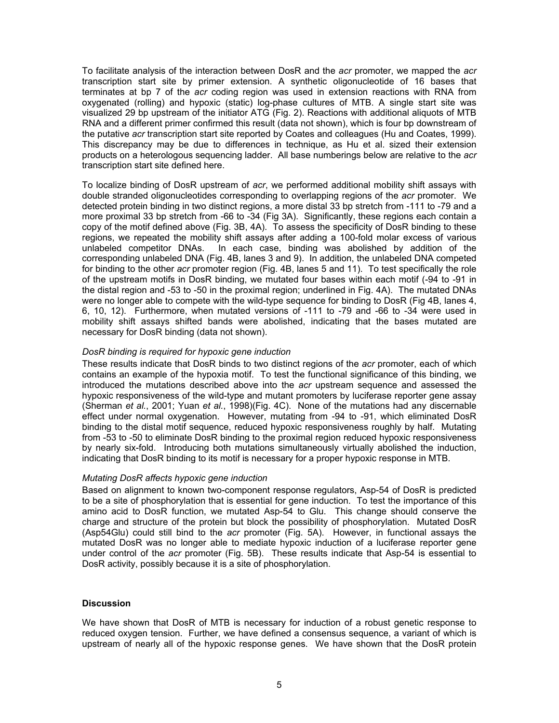To facilitate analysis of the interaction between DosR and the *acr* promoter, we mapped the *acr* transcription start site by primer extension. A synthetic oligonucleotide of 16 bases that terminates at bp 7 of the *acr* coding region was used in extension reactions with RNA from oxygenated (rolling) and hypoxic (static) log-phase cultures of MTB. A single start site was visualized 29 bp upstream of the initiator ATG (Fig. 2). Reactions with additional aliquots of MTB RNA and a different primer confirmed this result (data not shown), which is four bp downstream of the putative *acr* transcription start site reported by Coates and colleagues (Hu and Coates, 1999). This discrepancy may be due to differences in technique, as Hu et al. sized their extension products on a heterologous sequencing ladder. All base numberings below are relative to the *acr* transcription start site defined here.

To localize binding of DosR upstream of *acr*, we performed additional mobility shift assays with double stranded oligonucleotides corresponding to overlapping regions of the *acr* promoter. We detected protein binding in two distinct regions, a more distal 33 bp stretch from -111 to -79 and a more proximal 33 bp stretch from -66 to -34 (Fig 3A). Significantly, these regions each contain a copy of the motif defined above (Fig. 3B, 4A). To assess the specificity of DosR binding to these regions, we repeated the mobility shift assays after adding a 100-fold molar excess of various unlabeled competitor DNAs. In each case, binding was abolished by addition of the corresponding unlabeled DNA (Fig. 4B, lanes 3 and 9). In addition, the unlabeled DNA competed for binding to the other *acr* promoter region (Fig. 4B, lanes 5 and 11). To test specifically the role of the upstream motifs in DosR binding, we mutated four bases within each motif (-94 to -91 in the distal region and -53 to -50 in the proximal region; underlined in Fig. 4A). The mutated DNAs were no longer able to compete with the wild-type sequence for binding to DosR (Fig 4B, lanes 4, 6, 10, 12). Furthermore, when mutated versions of -111 to -79 and -66 to -34 were used in mobility shift assays shifted bands were abolished, indicating that the bases mutated are necessary for DosR binding (data not shown).

### *DosR binding is required for hypoxic gene induction*

These results indicate that DosR binds to two distinct regions of the *acr* promoter, each of which contains an example of the hypoxia motif. To test the functional significance of this binding, we introduced the mutations described above into the *acr* upstream sequence and assessed the hypoxic responsiveness of the wild-type and mutant promoters by luciferase reporter gene assay (Sherman *et al.*, 2001; Yuan *et al.*, 1998)(Fig. 4C). None of the mutations had any discernable effect under normal oxygenation. However, mutating from -94 to -91, which eliminated DosR binding to the distal motif sequence, reduced hypoxic responsiveness roughly by half. Mutating from -53 to -50 to eliminate DosR binding to the proximal region reduced hypoxic responsiveness by nearly six-fold. Introducing both mutations simultaneously virtually abolished the induction, indicating that DosR binding to its motif is necessary for a proper hypoxic response in MTB.

### *Mutating DosR affects hypoxic gene induction*

Based on alignment to known two-component response regulators, Asp-54 of DosR is predicted to be a site of phosphorylation that is essential for gene induction. To test the importance of this amino acid to DosR function, we mutated Asp-54 to Glu. This change should conserve the charge and structure of the protein but block the possibility of phosphorylation. Mutated DosR (Asp54Glu) could still bind to the *acr* promoter (Fig. 5A). However, in functional assays the mutated DosR was no longer able to mediate hypoxic induction of a luciferase reporter gene under control of the *acr* promoter (Fig. 5B). These results indicate that Asp-54 is essential to DosR activity, possibly because it is a site of phosphorylation.

### **Discussion**

We have shown that DosR of MTB is necessary for induction of a robust genetic response to reduced oxygen tension. Further, we have defined a consensus sequence, a variant of which is upstream of nearly all of the hypoxic response genes. We have shown that the DosR protein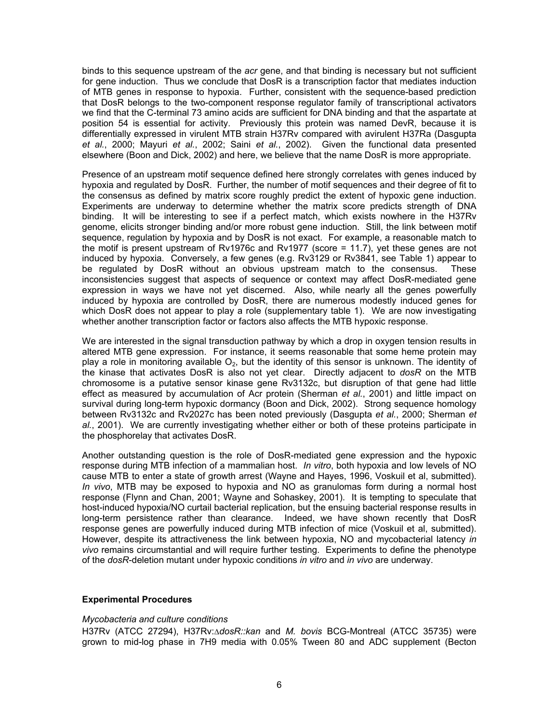binds to this sequence upstream of the *acr* gene, and that binding is necessary but not sufficient for gene induction. Thus we conclude that DosR is a transcription factor that mediates induction of MTB genes in response to hypoxia. Further, consistent with the sequence-based prediction that DosR belongs to the two-component response regulator family of transcriptional activators we find that the C-terminal 73 amino acids are sufficient for DNA binding and that the aspartate at position 54 is essential for activity. Previously this protein was named DevR, because it is differentially expressed in virulent MTB strain H37Rv compared with avirulent H37Ra (Dasgupta *et al.*, 2000; Mayuri *et al.*, 2002; Saini *et al.*, 2002). Given the functional data presented elsewhere (Boon and Dick, 2002) and here, we believe that the name DosR is more appropriate.

Presence of an upstream motif sequence defined here strongly correlates with genes induced by hypoxia and regulated by DosR. Further, the number of motif sequences and their degree of fit to the consensus as defined by matrix score roughly predict the extent of hypoxic gene induction. Experiments are underway to determine whether the matrix score predicts strength of DNA binding. It will be interesting to see if a perfect match, which exists nowhere in the H37Rv genome, elicits stronger binding and/or more robust gene induction. Still, the link between motif sequence, regulation by hypoxia and by DosR is not exact. For example, a reasonable match to the motif is present upstream of Rv1976c and Rv1977 (score = 11.7), yet these genes are not induced by hypoxia. Conversely, a few genes (e.g. Rv3129 or Rv3841, see Table 1) appear to be regulated by DosR without an obvious upstream match to the consensus. These inconsistencies suggest that aspects of sequence or context may affect DosR-mediated gene expression in ways we have not yet discerned. Also, while nearly all the genes powerfully induced by hypoxia are controlled by DosR, there are numerous modestly induced genes for which DosR does not appear to play a role (supplementary table 1). We are now investigating whether another transcription factor or factors also affects the MTB hypoxic response.

We are interested in the signal transduction pathway by which a drop in oxygen tension results in altered MTB gene expression. For instance, it seems reasonable that some heme protein may play a role in monitoring available  $O_2$ , but the identity of this sensor is unknown. The identity of the kinase that activates DosR is also not yet clear. Directly adjacent to *dosR* on the MTB chromosome is a putative sensor kinase gene Rv3132c, but disruption of that gene had little effect as measured by accumulation of Acr protein (Sherman *et al.*, 2001) and little impact on survival during long-term hypoxic dormancy (Boon and Dick, 2002). Strong sequence homology between Rv3132c and Rv2027c has been noted previously (Dasgupta *et al.*, 2000; Sherman *et al.*, 2001). We are currently investigating whether either or both of these proteins participate in the phosphorelay that activates DosR.

Another outstanding question is the role of DosR-mediated gene expression and the hypoxic response during MTB infection of a mammalian host. *In vitro*, both hypoxia and low levels of NO cause MTB to enter a state of growth arrest (Wayne and Hayes, 1996, Voskuil et al, submitted). *In vivo*, MTB may be exposed to hypoxia and NO as granulomas form during a normal host response (Flynn and Chan, 2001; Wayne and Sohaskey, 2001). It is tempting to speculate that host-induced hypoxia/NO curtail bacterial replication, but the ensuing bacterial response results in long-term persistence rather than clearance. Indeed, we have shown recently that DosR response genes are powerfully induced during MTB infection of mice (Voskuil et al, submitted). However, despite its attractiveness the link between hypoxia, NO and mycobacterial latency *in vivo* remains circumstantial and will require further testing. Experiments to define the phenotype of the *dosR*-deletion mutant under hypoxic conditions *in vitro* and *in vivo* are underway.

### **Experimental Procedures**

#### *Mycobacteria and culture conditions*

H37Rv (ATCC 27294), H37Rv:∆*dosR::kan* and *M. bovis* BCG-Montreal (ATCC 35735) were grown to mid-log phase in 7H9 media with 0.05% Tween 80 and ADC supplement (Becton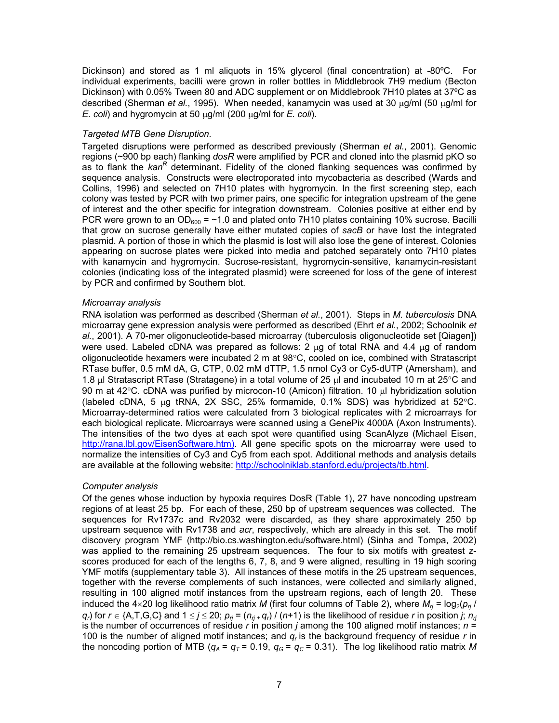Dickinson) and stored as 1 ml aliquots in 15% glycerol (final concentration) at -80ºC. For individual experiments, bacilli were grown in roller bottles in Middlebrook 7H9 medium (Becton Dickinson) with 0.05% Tween 80 and ADC supplement or on Middlebrook 7H10 plates at 37ºC as described (Sherman *et al.*, 1995). When needed, kanamycin was used at 30 µg/ml (50 µg/ml for *E. coli*) and hygromycin at 50 µg/ml (200 µg/ml for *E. coli*).

## *Targeted MTB Gene Disruption.*

Targeted disruptions were performed as described previously (Sherman *et al.*, 2001). Genomic regions (~900 bp each) flanking *dosR* were amplified by PCR and cloned into the plasmid pKO so as to flank the *kan<sup>R</sup>* determinant. Fidelity of the cloned flanking sequences was confirmed by sequence analysis. Constructs were electroporated into mycobacteria as described (Wards and Collins, 1996) and selected on 7H10 plates with hygromycin. In the first screening step, each colony was tested by PCR with two primer pairs, one specific for integration upstream of the gene of interest and the other specific for integration downstream. Colonies positive at either end by PCR were grown to an  $OD_{600} = -1.0$  and plated onto 7H10 plates containing 10% sucrose. Bacilli that grow on sucrose generally have either mutated copies of *sacB* or have lost the integrated plasmid. A portion of those in which the plasmid is lost will also lose the gene of interest. Colonies appearing on sucrose plates were picked into media and patched separately onto 7H10 plates with kanamycin and hygromycin. Sucrose-resistant, hygromycin-sensitive, kanamycin-resistant colonies (indicating loss of the integrated plasmid) were screened for loss of the gene of interest by PCR and confirmed by Southern blot.

## *Microarray analysis*

RNA isolation was performed as described (Sherman *et al.*, 2001). Steps in *M. tuberculosis* DNA microarray gene expression analysis were performed as described (Ehrt *et al.*, 2002; Schoolnik *et al.*, 2001). A 70-mer oligonucleotide-based microarray (tuberculosis oligonucleotide set [Qiagen]) were used. Labeled cDNA was prepared as follows: 2  $\mu$ g of total RNA and 4.4  $\mu$ g of random oligonucleotide hexamers were incubated 2 m at 98°C, cooled on ice, combined with Stratascript RTase buffer, 0.5 mM dA, G, CTP, 0.02 mM dTTP, 1.5 nmol Cy3 or Cy5-dUTP (Amersham), and 1.8 µl Stratascript RTase (Stratagene) in a total volume of 25 µl and incubated 10 m at 25°C and 90 m at 42°C. cDNA was purified by microcon-10 (Amicon) filtration. 10 µl hybridization solution (labeled cDNA, 5 µg tRNA, 2X SSC, 25% formamide, 0.1% SDS) was hybridized at 52°C. Microarray-determined ratios were calculated from 3 biological replicates with 2 microarrays for each biological replicate. Microarrays were scanned using a GenePix 4000A (Axon Instruments). The intensities of the two dyes at each spot were quantified using ScanAlyze (Michael Eisen, [http://rana.lbl.gov/EisenSoftware.htm\).](http://rana.lbl.gov/EisenSoftware.htm)) All gene specific spots on the microarray were used to normalize the intensities of Cy3 and Cy5 from each spot. Additional methods and analysis details are available at the following website: [http://schoolniklab.stanford.edu/projects/tb.html.](http://schoolniklab.stanford.edu/projects/tb.html)

## *Computer analysis*

Of the genes whose induction by hypoxia requires DosR (Table 1), 27 have noncoding upstream regions of at least 25 bp. For each of these, 250 bp of upstream sequences was collected. The sequences for Rv1737c and Rv2032 were discarded, as they share approximately 250 bp upstream sequence with Rv1738 and *acr*, respectively, which are already in this set. The motif discovery program YMF (http://bio.cs.washington.edu/software.html) (Sinha and Tompa, 2002) was applied to the remaining 25 upstream sequences. The four to six motifs with greatest *z*scores produced for each of the lengths 6, 7, 8, and 9 were aligned, resulting in 19 high scoring YMF motifs (supplementary table 3). All instances of these motifs in the 25 upstream sequences, together with the reverse complements of such instances, were collected and similarly aligned, resulting in 100 aligned motif instances from the upstream regions, each of length 20. These induced the 4×20 log likelihood ratio matrix *M* (first four columns of Table 2), where  $M_{\rm r}$  = log<sub>2</sub>( $p_{\rm r}$ ) *q<sub>r</sub>*) for  $r \in \{A, T, G, C\}$  and  $1 \le j \le 20$ ;  $p_{ri} = (n_{ri} + q_i) / (n+1)$  is the likelihood of residue *r* in position *j*;  $n_{ri}$ is the number of occurrences of residue *r* in position *j* among the 100 aligned motif instances; *n* = 100 is the number of aligned motif instances; and *qr* is the background frequency of residue *r* in the noncoding portion of MTB ( $q_A = q_T = 0.19$ ,  $q_G = q_C = 0.31$ ). The log likelihood ratio matrix M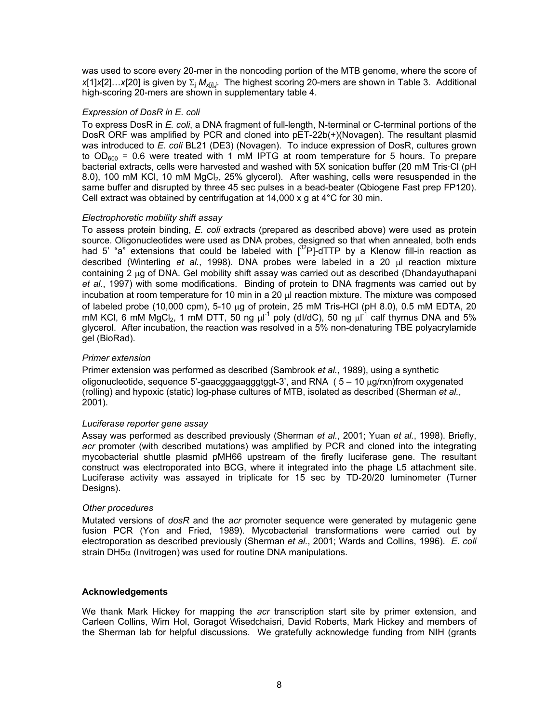was used to score every 20-mer in the noncoding portion of the MTB genome, where the score of *x*[1]*x*[2]…*x*[20] is given by Σ<sub>j</sub> *M<sub>x[<i>j*]</sub>/<sub>*i*</sub>. The highest scoring 20-mers are shown in Table 3. Additional high-scoring 20-mers are shown in supplementary table 4.

### *Expression of DosR in E. coli*

To express DosR in *E. coli*, a DNA fragment of full-length, N-terminal or C-terminal portions of the DosR ORF was amplified by PCR and cloned into pET-22b(+)(Novagen). The resultant plasmid was introduced to *E. coli* BL21 (DE3) (Novagen). To induce expression of DosR, cultures grown to  $OD_{600}$  = 0.6 were treated with 1 mM IPTG at room temperature for 5 hours. To prepare bacterial extracts, cells were harvested and washed with 5X sonication buffer (20 mM Tris·Cl (pH 8.0), 100 mM KCl, 10 mM MgCl<sub>2</sub>, 25% glycerol). After washing, cells were resuspended in the same buffer and disrupted by three 45 sec pulses in a bead-beater (Qbiogene Fast prep FP120). Cell extract was obtained by centrifugation at 14,000 x g at 4°C for 30 min.

### *Electrophoretic mobility shift assay*

To assess protein binding, *E. coli* extracts (prepared as described above) were used as protein source. Oligonucleotides were used as DNA probes, designed so that when annealed, both ends had 5' "a" extensions that could be labeled with  $[3^2P]$ -dTTP by a Klenow fill-in reaction as described (Winterling *et al.*, 1998). DNA probes were labeled in a 20 µl reaction mixture containing 2 µg of DNA. Gel mobility shift assay was carried out as described (Dhandayuthapani *et al.*, 1997) with some modifications. Binding of protein to DNA fragments was carried out by incubation at room temperature for 10 min in a 20  $\mu$  reaction mixture. The mixture was composed of labeled probe (10,000 cpm), 5-10 µg of protein, 25 mM Tris-HCl (pH 8.0), 0.5 mM EDTA, 20 mM KCl, 6 mM MgCl<sub>2</sub>, 1 mM DTT, 50 ng  $\mu$ I<sup>-1</sup> poly (dl/dC), 50 ng  $\mu$ I<sup>-1</sup> calf thymus DNA and 5% glycerol. After incubation, the reaction was resolved in a 5% non-denaturing TBE polyacrylamide gel (BioRad).

### *Primer extension*

Primer extension was performed as described (Sambrook *et al.*, 1989), using a synthetic oligonucleotide, sequence 5'-gaacgggaagggtggt-3', and RNA ( 5 – 10 µg/rxn)from oxygenated (rolling) and hypoxic (static) log-phase cultures of MTB, isolated as described (Sherman *et al.*, 2001).

### *Luciferase reporter gene assay*

Assay was performed as described previously (Sherman *et al.*, 2001; Yuan *et al.*, 1998). Briefly, *acr* promoter (with described mutations) was amplified by PCR and cloned into the integrating mycobacterial shuttle plasmid pMH66 upstream of the firefly luciferase gene. The resultant construct was electroporated into BCG, where it integrated into the phage L5 attachment site. Luciferase activity was assayed in triplicate for 15 sec by TD-20/20 luminometer (Turner Designs).

### *Other procedures*

Mutated versions of *dosR* and the *acr* promoter sequence were generated by mutagenic gene fusion PCR (Yon and Fried, 1989). Mycobacterial transformations were carried out by electroporation as described previously (Sherman *et al.*, 2001; Wards and Collins, 1996). *E. coli* strain DH5 $\alpha$  (Invitrogen) was used for routine DNA manipulations.

### **Acknowledgements**

We thank Mark Hickey for mapping the *acr* transcription start site by primer extension, and Carleen Collins, Wim Hol, Goragot Wisedchaisri, David Roberts, Mark Hickey and members of the Sherman lab for helpful discussions. We gratefully acknowledge funding from NIH (grants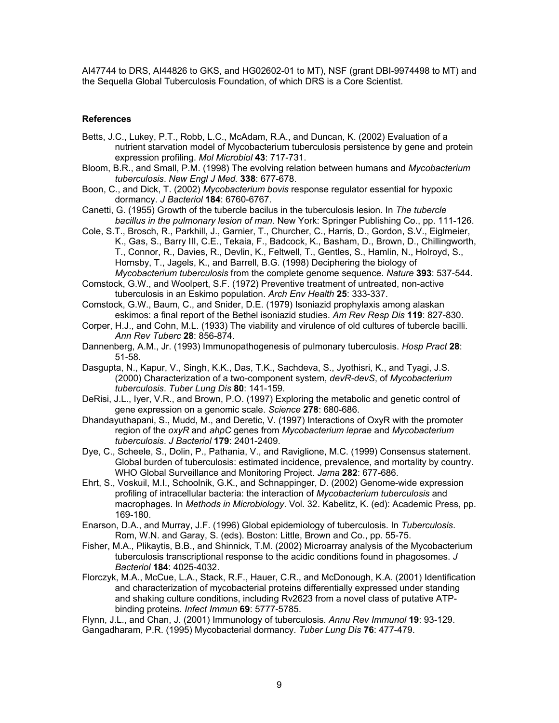AI47744 to DRS, AI44826 to GKS, and HG02602-01 to MT), NSF (grant DBI-9974498 to MT) and the Sequella Global Tuberculosis Foundation, of which DRS is a Core Scientist.

### **References**

- Betts, J.C., Lukey, P.T., Robb, L.C., McAdam, R.A., and Duncan, K. (2002) Evaluation of a nutrient starvation model of Mycobacterium tuberculosis persistence by gene and protein expression profiling. *Mol Microbiol* **43**: 717-731.
- Bloom, B.R., and Small, P.M. (1998) The evolving relation between humans and *Mycobacterium tuberculosis*. *New Engl J Med.* **338**: 677-678.
- Boon, C., and Dick, T. (2002) *Mycobacterium bovis* response regulator essential for hypoxic dormancy. *J Bacteriol* **184**: 6760-6767.
- Canetti, G. (1955) Growth of the tubercle bacilus in the tuberculosis lesion. In *The tubercle bacillus in the pulmonary lesion of man*. New York: Springer Publishing Co., pp. 111-126.
- Cole, S.T., Brosch, R., Parkhill, J., Garnier, T., Churcher, C., Harris, D., Gordon, S.V., Eiglmeier, K., Gas, S., Barry III, C.E., Tekaia, F., Badcock, K., Basham, D., Brown, D., Chillingworth, T., Connor, R., Davies, R., Devlin, K., Feltwell, T., Gentles, S., Hamlin, N., Holroyd, S., Hornsby, T., Jagels, K., and Barrell, B.G. (1998) Deciphering the biology of *Mycobacterium tuberculosis* from the complete genome sequence. *Nature* **393**: 537-544.

Comstock, G.W., and Woolpert, S.F. (1972) Preventive treatment of untreated, non-active tuberculosis in an Eskimo population. *Arch Env Health* **25**: 333-337.

- Comstock, G.W., Baum, C., and Snider, D.E. (1979) Isoniazid prophylaxis among alaskan eskimos: a final report of the Bethel isoniazid studies. *Am Rev Resp Dis* **119**: 827-830.
- Corper, H.J., and Cohn, M.L. (1933) The viability and virulence of old cultures of tubercle bacilli. *Ann Rev Tuberc* **28**: 856-874.
- Dannenberg, A.M., Jr. (1993) Immunopathogenesis of pulmonary tuberculosis. *Hosp Pract* **28**: 51-58.
- Dasgupta, N., Kapur, V., Singh, K.K., Das, T.K., Sachdeva, S., Jyothisri, K., and Tyagi, J.S. (2000) Characterization of a two-component system, *devR-devS*, of *Mycobacterium tuberculosis*. *Tuber Lung Dis* **80**: 141-159.
- DeRisi, J.L., Iyer, V.R., and Brown, P.O. (1997) Exploring the metabolic and genetic control of gene expression on a genomic scale. *Science* **278**: 680-686.
- Dhandayuthapani, S., Mudd, M., and Deretic, V. (1997) Interactions of OxyR with the promoter region of the *oxyR* and *ahpC* genes from *Mycobacterium leprae* and *Mycobacterium tuberculosis*. *J Bacteriol* **179**: 2401-2409.
- Dye, C., Scheele, S., Dolin, P., Pathania, V., and Raviglione, M.C. (1999) Consensus statement. Global burden of tuberculosis: estimated incidence, prevalence, and mortality by country. WHO Global Surveillance and Monitoring Project. *Jama* **282**: 677-686.
- Ehrt, S., Voskuil, M.I., Schoolnik, G.K., and Schnappinger, D. (2002) Genome-wide expression profiling of intracellular bacteria: the interaction of *Mycobacterium tuberculosis* and macrophages. In *Methods in Microbiology*. Vol. 32. Kabelitz, K. (ed): Academic Press, pp. 169-180.
- Enarson, D.A., and Murray, J.F. (1996) Global epidemiology of tuberculosis. In *Tuberculosis*. Rom, W.N. and Garay, S. (eds). Boston: Little, Brown and Co., pp. 55-75.
- Fisher, M.A., Plikaytis, B.B., and Shinnick, T.M. (2002) Microarray analysis of the Mycobacterium tuberculosis transcriptional response to the acidic conditions found in phagosomes. *J Bacteriol* **184**: 4025-4032.
- Florczyk, M.A., McCue, L.A., Stack, R.F., Hauer, C.R., and McDonough, K.A. (2001) Identification and characterization of mycobacterial proteins differentially expressed under standing and shaking culture conditions, including Rv2623 from a novel class of putative ATPbinding proteins. *Infect Immun* **69**: 5777-5785.

Flynn, J.L., and Chan, J. (2001) Immunology of tuberculosis. *Annu Rev Immunol* **19**: 93-129. Gangadharam, P.R. (1995) Mycobacterial dormancy. *Tuber Lung Dis* **76**: 477-479.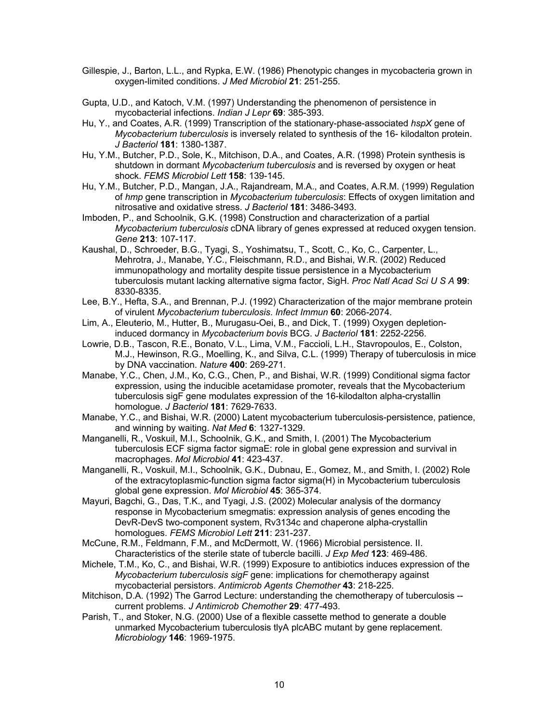- Gillespie, J., Barton, L.L., and Rypka, E.W. (1986) Phenotypic changes in mycobacteria grown in oxygen-limited conditions. *J Med Microbiol* **21**: 251-255.
- Gupta, U.D., and Katoch, V.M. (1997) Understanding the phenomenon of persistence in mycobacterial infections. *Indian J Lepr* **69**: 385-393.
- Hu, Y., and Coates, A.R. (1999) Transcription of the stationary-phase-associated *hspX* gene of *Mycobacterium tuberculosis* is inversely related to synthesis of the 16- kilodalton protein. *J Bacteriol* **181**: 1380-1387.
- Hu, Y.M., Butcher, P.D., Sole, K., Mitchison, D.A., and Coates, A.R. (1998) Protein synthesis is shutdown in dormant *Mycobacterium tuberculosis* and is reversed by oxygen or heat shock. *FEMS Microbiol Lett* **158**: 139-145.
- Hu, Y.M., Butcher, P.D., Mangan, J.A., Rajandream, M.A., and Coates, A.R.M. (1999) Regulation of *hmp* gene transcription in *Mycobacterium tuberculosis*: Effects of oxygen limitation and nitrosative and oxidative stress. *J Bacteriol* **181**: 3486-3493.
- Imboden, P., and Schoolnik, G.K. (1998) Construction and characterization of a partial *Mycobacterium tuberculosis* cDNA library of genes expressed at reduced oxygen tension. *Gene* **213**: 107-117.
- Kaushal, D., Schroeder, B.G., Tyagi, S., Yoshimatsu, T., Scott, C., Ko, C., Carpenter, L., Mehrotra, J., Manabe, Y.C., Fleischmann, R.D., and Bishai, W.R. (2002) Reduced immunopathology and mortality despite tissue persistence in a Mycobacterium tuberculosis mutant lacking alternative sigma factor, SigH. *Proc Natl Acad Sci U S A* **99**: 8330-8335.
- Lee, B.Y., Hefta, S.A., and Brennan, P.J. (1992) Characterization of the major membrane protein of virulent *Mycobacterium tuberculosis*. *Infect Immun* **60**: 2066-2074.
- Lim, A., Eleuterio, M., Hutter, B., Murugasu-Oei, B., and Dick, T. (1999) Oxygen depletioninduced dormancy in *Mycobacterium bovis* BCG. *J Bacteriol* **181**: 2252-2256.
- Lowrie, D.B., Tascon, R.E., Bonato, V.L., Lima, V.M., Faccioli, L.H., Stavropoulos, E., Colston, M.J., Hewinson, R.G., Moelling, K., and Silva, C.L. (1999) Therapy of tuberculosis in mice by DNA vaccination. *Nature* **400**: 269-271.
- Manabe, Y.C., Chen, J.M., Ko, C.G., Chen, P., and Bishai, W.R. (1999) Conditional sigma factor expression, using the inducible acetamidase promoter, reveals that the Mycobacterium tuberculosis sigF gene modulates expression of the 16-kilodalton alpha-crystallin homologue. *J Bacteriol* **181**: 7629-7633.
- Manabe, Y.C., and Bishai, W.R. (2000) Latent mycobacterium tuberculosis-persistence, patience, and winning by waiting. *Nat Med* **6**: 1327-1329.
- Manganelli, R., Voskuil, M.I., Schoolnik, G.K., and Smith, I. (2001) The Mycobacterium tuberculosis ECF sigma factor sigmaE: role in global gene expression and survival in macrophages. *Mol Microbiol* **41**: 423-437.
- Manganelli, R., Voskuil, M.I., Schoolnik, G.K., Dubnau, E., Gomez, M., and Smith, I. (2002) Role of the extracytoplasmic-function sigma factor sigma(H) in Mycobacterium tuberculosis global gene expression. *Mol Microbiol* **45**: 365-374.
- Mayuri, Bagchi, G., Das, T.K., and Tyagi, J.S. (2002) Molecular analysis of the dormancy response in Mycobacterium smegmatis: expression analysis of genes encoding the DevR-DevS two-component system, Rv3134c and chaperone alpha-crystallin homologues. *FEMS Microbiol Lett* **211**: 231-237.
- McCune, R.M., Feldmann, F.M., and McDermott, W. (1966) Microbial persistence. II. Characteristics of the sterile state of tubercle bacilli. *J Exp Med* **123**: 469-486.
- Michele, T.M., Ko, C., and Bishai, W.R. (1999) Exposure to antibiotics induces expression of the *Mycobacterium tuberculosis sigF* gene: implications for chemotherapy against mycobacterial persistors. *Antimicrob Agents Chemother* **43**: 218-225.
- Mitchison, D.A. (1992) The Garrod Lecture: understanding the chemotherapy of tuberculosis current problems. *J Antimicrob Chemother* **29**: 477-493.
- Parish, T., and Stoker, N.G. (2000) Use of a flexible cassette method to generate a double unmarked Mycobacterium tuberculosis tlyA plcABC mutant by gene replacement. *Microbiology* **146**: 1969-1975.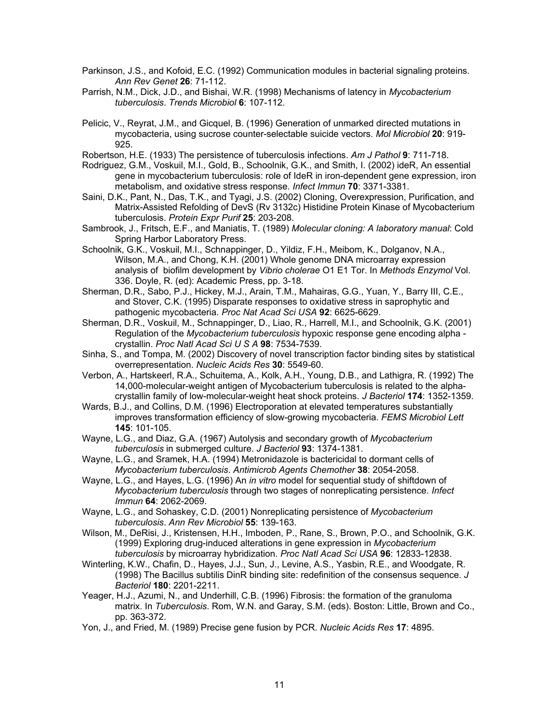- Parkinson, J.S., and Kofoid, E.C. (1992) Communication modules in bacterial signaling proteins. *Ann Rev Genet* **26**: 71-112.
- Parrish, N.M., Dick, J.D., and Bishai, W.R. (1998) Mechanisms of latency in *Mycobacterium tuberculosis*. *Trends Microbiol* **6**: 107-112.
- Pelicic, V., Reyrat, J.M., and Gicquel, B. (1996) Generation of unmarked directed mutations in mycobacteria, using sucrose counter-selectable suicide vectors. *Mol Microbiol* **20**: 919- 925.
- Robertson, H.E. (1933) The persistence of tuberculosis infections. *Am J Pathol* **9**: 711-718.
- Rodriguez, G.M., Voskuil, M.I., Gold, B., Schoolnik, G.K., and Smith, I. (2002) ideR, An essential gene in mycobacterium tuberculosis: role of IdeR in iron-dependent gene expression, iron metabolism, and oxidative stress response. *Infect Immun* **70**: 3371-3381.
- Saini, D.K., Pant, N., Das, T.K., and Tyagi, J.S. (2002) Cloning, Overexpression, Purification, and Matrix-Assisted Refolding of DevS (Rv 3132c) Histidine Protein Kinase of Mycobacterium tuberculosis. *Protein Expr Purif* **25**: 203-208.
- Sambrook, J., Fritsch, E.F., and Maniatis, T. (1989) *Molecular cloning: A laboratory manual*: Cold Spring Harbor Laboratory Press.
- Schoolnik, G.K., Voskuil, M.I., Schnappinger, D., Yildiz, F.H., Meibom, K., Dolganov, N.A., Wilson, M.A., and Chong, K.H. (2001) Whole genome DNA microarray expression analysis of biofilm development by *Vibrio cholerae* O1 E1 Tor. In *Methods Enzymol* Vol. 336. Doyle, R. (ed): Academic Press, pp. 3-18.
- Sherman, D.R., Sabo, P.J., Hickey, M.J., Arain, T.M., Mahairas, G.G., Yuan, Y., Barry III, C.E., and Stover, C.K. (1995) Disparate responses to oxidative stress in saprophytic and pathogenic mycobacteria. *Proc Nat Acad Sci USA* **92**: 6625-6629.
- Sherman, D.R., Voskuil, M., Schnappinger, D., Liao, R., Harrell, M.I., and Schoolnik, G.K. (2001) Regulation of the *Mycobacterium tuberculosis* hypoxic response gene encoding alpha crystallin. *Proc Natl Acad Sci U S A* **98**: 7534-7539.
- Sinha, S., and Tompa, M. (2002) Discovery of novel transcription factor binding sites by statistical overrepresentation. *Nucleic Acids Res* **30**: 5549-60.
- Verbon, A., Hartskeerl, R.A., Schuitema, A., Kolk, A.H., Young, D.B., and Lathigra, R. (1992) The 14,000-molecular-weight antigen of Mycobacterium tuberculosis is related to the alphacrystallin family of low-molecular-weight heat shock proteins. *J Bacteriol* **174**: 1352-1359.
- Wards, B.J., and Collins, D.M. (1996) Electroporation at elevated temperatures substantially improves transformation efficiency of slow-growing mycobacteria. *FEMS Microbiol Lett* **145**: 101-105.
- Wayne, L.G., and Diaz, G.A. (1967) Autolysis and secondary growth of *Mycobacterium tuberculosis* in submerged culture. *J Bacteriol* **93**: 1374-1381.
- Wayne, L.G., and Sramek, H.A. (1994) Metronidazole is bactericidal to dormant cells of *Mycobacterium tuberculosis*. *Antimicrob Agents Chemother* **38**: 2054-2058.
- Wayne, L.G., and Hayes, L.G. (1996) An *in vitro* model for sequential study of shiftdown of *Mycobacterium tuberculosis* through two stages of nonreplicating persistence. *Infect Immun* **64**: 2062-2069.
- Wayne, L.G., and Sohaskey, C.D. (2001) Nonreplicating persistence of *Mycobacterium tuberculosis*. *Ann Rev Microbiol* **55**: 139-163.
- Wilson, M., DeRisi, J., Kristensen, H.H., Imboden, P., Rane, S., Brown, P.O., and Schoolnik, G.K. (1999) Exploring drug-induced alterations in gene expression in *Mycobacterium tuberculosis* by microarray hybridization. *Proc Natl Acad Sci USA* **96**: 12833-12838.
- Winterling, K.W., Chafin, D., Hayes, J.J., Sun, J., Levine, A.S., Yasbin, R.E., and Woodgate, R. (1998) The Bacillus subtilis DinR binding site: redefinition of the consensus sequence. *J Bacteriol* **180**: 2201-2211.
- Yeager, H.J., Azumi, N., and Underhill, C.B. (1996) Fibrosis: the formation of the granuloma matrix. In *Tuberculosis*. Rom, W.N. and Garay, S.M. (eds). Boston: Little, Brown and Co., pp. 363-372.
- Yon, J., and Fried, M. (1989) Precise gene fusion by PCR. *Nucleic Acids Res* **17**: 4895.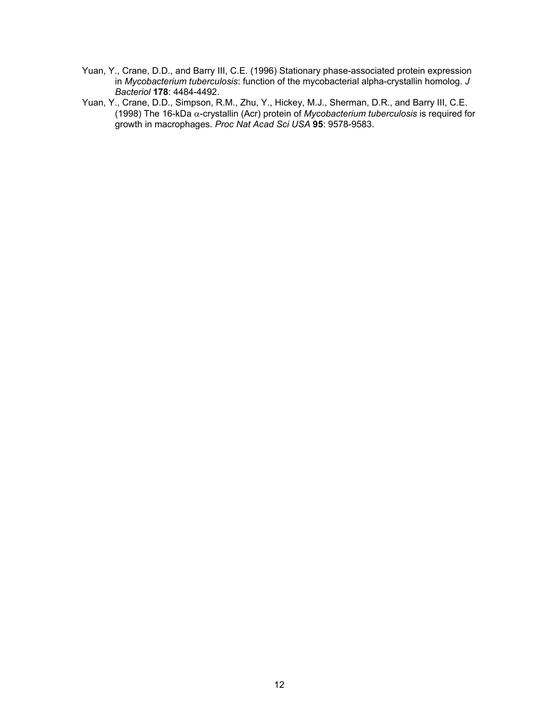- Yuan, Y., Crane, D.D., and Barry III, C.E. (1996) Stationary phase-associated protein expression in *Mycobacterium tuberculosis*: function of the mycobacterial alpha-crystallin homolog. *J Bacteriol* **178**: 4484-4492.
- Yuan, Y., Crane, D.D., Simpson, R.M., Zhu, Y., Hickey, M.J., Sherman, D.R., and Barry III, C.E. (1998) The 16-kDa α-crystallin (Acr) protein of *Mycobacterium tuberculosis* is required for growth in macrophages. *Proc Nat Acad Sci USA* **95**: 9578-9583.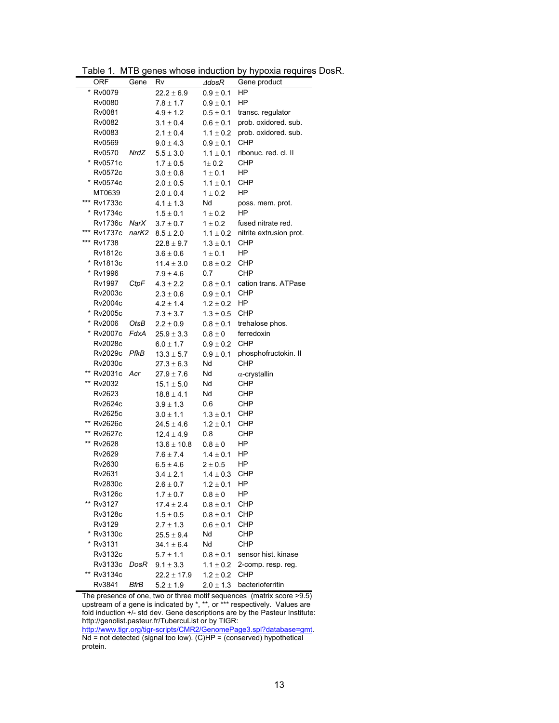| <b>ORF</b>  | Gene  | Rv              | $\triangle$ dos $R$ | Gene product            |
|-------------|-------|-----------------|---------------------|-------------------------|
| * Rv0079    |       | $22.2 \pm 6.9$  | $0.9 \pm 0.1$       | HP                      |
| Rv0080      |       | $7.8 \pm 1.7$   | $0.9 \pm 0.1$       | HP                      |
| Rv0081      |       | $4.9 \pm 1.2$   | $0.5 \pm 0.1$       | transc. regulator       |
| Rv0082      |       | $3.1 \pm 0.4$   | $0.6 \pm 0.1$       | prob. oxidored. sub.    |
| Rv0083      |       | $2.1 \pm 0.4$   | $1.1 \pm 0.2$       | prob. oxidored. sub.    |
| Rv0569      |       | $9.0 \pm 4.3$   | $0.9 \pm 0.1$       | CHP                     |
| Rv0570      | NrdZ  | $5.5 \pm 3.0$   | $1.1 \pm 0.1$       | ribonuc. red. cl. II    |
| * Rv0571c   |       | $1.7 \pm 0.5$   | $1\pm 0.2$          | CHP                     |
| Rv0572c     |       | $3.0 \pm 0.8$   | $1 \pm 0.1$         | ΗP                      |
| * Rv0574c   |       | $2.0 \pm 0.5$   | $1.1 \pm 0.1$       | CHP                     |
| MT0639      |       | $2.0 \pm 0.4$   | $1 \pm 0.2$         | HP                      |
| *** Rv1733c |       | $4.1 \pm 1.3$   | Nd                  | poss. mem. prot.        |
| * Rv1734c   |       | $1.5 \pm 0.1$   | $1 \pm 0.2$         | HP                      |
| Rv1736c     | NarX  | $3.7 \pm 0.7$   | $1 \pm 0.2$         | fused nitrate red.      |
| *** Rv1737c | narK2 | $8.5 \pm 2.0$   | $1.1 \pm 0.2$       | nitrite extrusion prot. |
| *** Rv1738  |       | $22.8 \pm 9.7$  | $1.3 \pm 0.1$       | CHP                     |
| Rv1812c     |       | $3.6 \pm 0.6$   | $1 \pm 0.1$         | HP                      |
| * Rv1813c   |       | $11.4 \pm 3.0$  | $0.8 \pm 0.2$       | CHP                     |
| * Rv1996    |       | $7.9 \pm 4.6$   | 0.7                 | <b>CHP</b>              |
| Rv1997      | CtpF  | $4.3 \pm 2.2$   | $0.8 \pm 0.1$       | cation trans. ATPase    |
| Rv2003c     |       | $2.3 \pm 0.6$   | $0.9 \pm 0.1$       | CHP                     |
| Rv2004c     |       | $4.2 \pm 1.4$   | $1.2\pm0.2$         | HP                      |
| * Rv2005c   |       | $7.3 \pm 3.7$   | $1.3 \pm 0.5$       | CHP                     |
| * Rv2006    | OtsB  | $2.2 \pm 0.9$   | $0.8\pm0.1$         | trehalose phos.         |
| * Rv2007c   | FdxA  | $25.9 \pm 3.3$  | $0.8\pm0$           | ferredoxin              |
| Rv2028c     |       | $6.0 \pm 1.7$   | $0.9 \pm 0.2$       | <b>CHP</b>              |
| Rv2029c     | PfkB  | $13.3 \pm 5.7$  | $0.9\pm0.1$         | phosphofructokin. II    |
| Rv2030c     |       | $27.3 \pm 6.3$  | Nd                  | CHP                     |
| ** Rv2031c  | Acr   | $27.9 \pm 7.6$  | Nd                  | $\alpha$ -crystallin    |
| ** Rv2032   |       | $15.1 \pm 5.0$  | Nd                  | CHP                     |
| Rv2623      |       | $18.8 \pm 4.1$  | Nd                  | CHP                     |
| Rv2624c     |       | $3.9 \pm 1.3$   | 0.6                 | CHP                     |
| Rv2625c     |       | $3.0 \pm 1.1$   | $1.3 \pm 0.1$       | CHP                     |
| ** Rv2626c  |       | $24.5 \pm 4.6$  | $1.2 \pm 0.1$       | CHP                     |
| ** Rv2627c  |       | 12.4 $\pm$ 4.9  | 0.8                 | CHP                     |
| ** Rv2628   |       | $13.6 \pm 10.8$ | $0.8\pm0$           | ΗP                      |
| Rv2629      |       | $7.6 \pm 7.4$   | $1.4 \pm 0.1$       | ΗP                      |
| Rv2630      |       | $6.5 \pm 4.6$   | $2 \pm 0.5$         | ΗP                      |
| Rv2631      |       | $3.4 \pm 2.1$   | $1.4 \pm 0.3$       | CHP                     |
| Rv2830c     |       | $2.6 \pm 0.7$   | $1.2 \pm 0.1$ HP    |                         |
| Rv3126c     |       | $1.7 \pm 0.7$   | $0.8 \pm 0$         | ΗP                      |
| ** Rv3127   |       | $17.4 \pm 2.4$  | $0.8 \pm 0.1$       | <b>CHP</b>              |
| Rv3128c     |       | $1.5 \pm 0.5$   | $0.8 \pm 0.1$       | CHP                     |
| Rv3129      |       | $2.7 \pm 1.3$   | $0.6 \pm 0.1$       | CHP                     |
| * Rv3130c   |       | $25.5 \pm 9.4$  | Nd                  | <b>CHP</b>              |
| * Rv3131    |       | $34.1 \pm 6.4$  | Nd                  | CHP                     |
| Rv3132c     |       | $5.7 \pm 1.1$   | $0.8 \pm 0.1$       | sensor hist. kinase     |
| Rv3133c     | DosR  | $9.1 \pm 3.3$   | $1.1 \pm 0.2$       | 2-comp. resp. reg.      |
| ** Rv3134c  |       | $22.2 \pm 17.9$ | $1.2 \pm 0.2$       | CHP                     |
| Rv3841      | BfrB  | $5.2 \pm 1.9$   | $2.0 \pm 1.3$       | bacterioferritin        |

Table 1. MTB genes whose induction by hypoxia requires DosR.

The presence of one, two or three motif sequences (matrix score >9.5) upstream of a gene is indicated by \*, \*\*, or \*\*\* respectively. Values are fold induction +/- std dev. Gene descriptions are by the Pasteur Institute: http://genolist.pasteur.fr/TubercuList or by TIGR: http://www.tigr.org/tigr-scripts/CMR2/GenomePage3.spl?database=gmt.

Nd = not detected (signal too low). (C)HP = (conserved) hypothetical protein.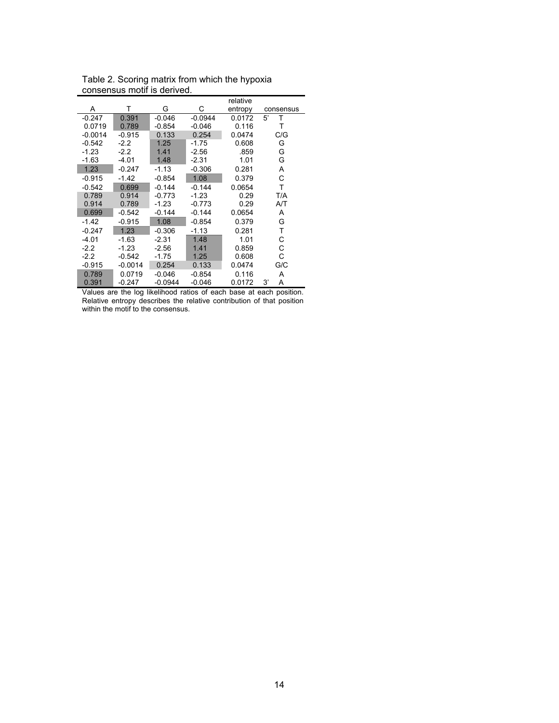|           |           |           |           | relative |           |
|-----------|-----------|-----------|-----------|----------|-----------|
| A         | т         | G         | С         | entropy  | consensus |
| $-0.247$  | 0.391     | $-0.046$  | $-0.0944$ | 0.0172   | Т<br>5'   |
| 0.0719    | 0.789     | $-0.854$  | $-0.046$  | 0.116    | Т         |
| $-0.0014$ | $-0.915$  | 0.133     | 0.254     | 0.0474   | C/G       |
| $-0.542$  | $-2.2$    | 1.25      | $-1.75$   | 0.608    | G         |
| $-1.23$   | $-2.2$    | 1.41      | $-2.56$   | .859     | G         |
| $-1.63$   | -4.01     | 1.48      | $-2.31$   | 1.01     | G         |
| 1.23      | $-0.247$  | $-1.13$   | $-0.306$  | 0.281    | Α         |
| $-0.915$  | $-1.42$   | $-0.854$  | 1.08      | 0.379    | C         |
| $-0.542$  | 0.699     | $-0.144$  | $-0.144$  | 0.0654   | T         |
| 0.789     | 0.914     | $-0.773$  | $-1.23$   | 0.29     | T/A       |
| 0.914     | 0.789     | $-1.23$   | $-0.773$  | 0.29     | A/T       |
| 0.699     | $-0.542$  | $-0.144$  | $-0.144$  | 0.0654   | A         |
| $-1.42$   | $-0.915$  | 1.08      | $-0.854$  | 0.379    | G         |
| $-0.247$  | 1.23      | $-0.306$  | $-1.13$   | 0.281    | т         |
| $-4.01$   | $-1.63$   | $-2.31$   | 1.48      | 1.01     | С         |
| $-2.2$    | $-1.23$   | $-2.56$   | 1.41      | 0.859    | C         |
| $-2.2$    | $-0.542$  | $-1.75$   | 1.25      | 0.608    | C         |
| $-0.915$  | $-0.0014$ | 0.254     | 0.133     | 0.0474   | G/C       |
| 0.789     | 0.0719    | $-0.046$  | $-0.854$  | 0.116    | A         |
| 0.391     | $-0.247$  | $-0.0944$ | $-0.046$  | 0.0172   | 3'<br>Α   |

Table 2. Scoring matrix from which the hypoxia consensus motif is derived.

Values are the log likelihood ratios of each base at each position. Relative entropy describes the relative contribution of that position within the motif to the consensus.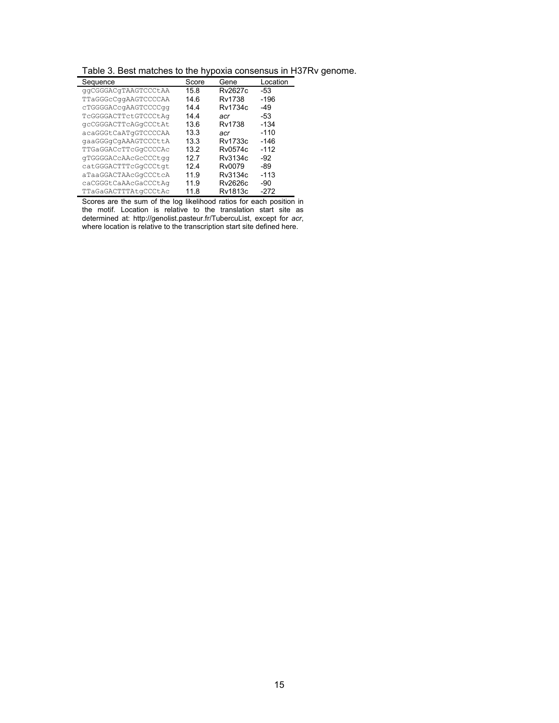|  |  |  | Table 3. Best matches to the hypoxia consensus in H37Rv genome. |  |  |
|--|--|--|-----------------------------------------------------------------|--|--|
|  |  |  |                                                                 |  |  |

| Sequence             | Score | Gene    | Location |
|----------------------|-------|---------|----------|
| qqCGGGACqTAAGTCCCtAA | 15.8  | Rv2627c | -53      |
| TTaGGGcCqqAAGTCCCCAA | 14 6  | Rv1738  | -196     |
| cTGGGGACcqAAGTCCCCqq | 144   | Rv1734c | $-49$    |
| TCGGGGACTTCtGTCCCtAq | 14.4  | acr     | -53      |
| gcCGGGACTTcAGqCCCtAt | 13.6  | Rv1738  | -134     |
| acaGGGtCaATqGTCCCCAA | 13.3  | acr     | $-110$   |
| gaaGGGgCgAAAGTCCCttA | 13.3  | Rv1733c | -146     |
| TTGaGGACcTTcGqCCCCAc | 13.2  | Rv0574c | $-112$   |
| qTGGGGACcAAcGcCCCtqq | 12 7  | Rv3134c | $-92$    |
| catGGGACTTTcGqCCCtqt | 124   | Rv0079  | -89      |
| aTaaGGACTAAcGqCCCtcA | 119   | Rv3134c | $-113$   |
| caCGGGtCaAAcGaCCCtAq | 11.9  | Rv2626c | -90      |
| TTaGaGACTTTAtqCCCtAc | 11 8  | Rv1813c | -272     |

Scores are the sum of the log likelihood ratios for each position in the motif. Location is relative to the translation start site as determined at: http://genolist.pasteur.fr/TubercuList, except for *acr*, where location is relative to the transcription start site defined here.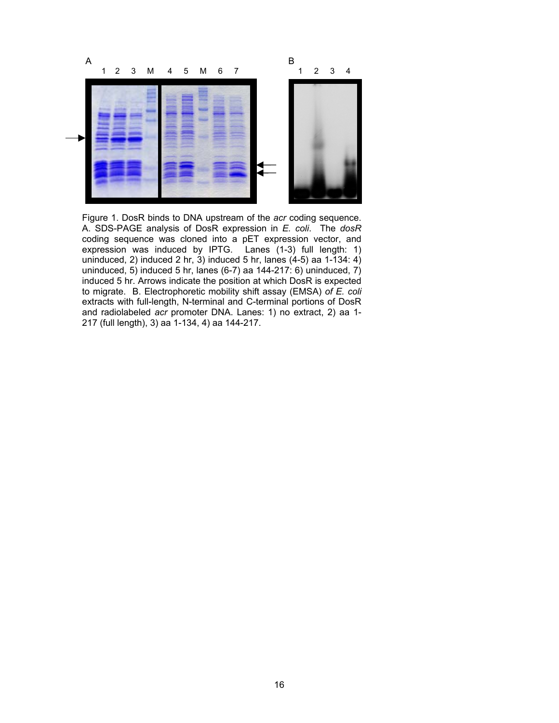

Figure 1. DosR binds to DNA upstream of the *acr* coding sequence. A. SDS-PAGE analysis of DosR expression in *E. coli*. The *dosR* coding sequence was cloned into a pET expression vector, and expression was induced by IPTG. Lanes (1-3) full length: 1) uninduced, 2) induced 2 hr,  $3$ ) induced 5 hr, lanes  $(4-5)$  aa 1-134: 4) uninduced, 5) induced 5 hr, lanes (6-7) aa 144-217: 6) uninduced, 7) induced 5 hr. Arrows indicate the position at which DosR is expected to migrate. B. Electrophoretic mobility shift assay (EMSA) *of E. coli* extracts with full-length, N-terminal and C-terminal portions of DosR and radiolabeled *acr* promoter DNA. Lanes: 1) no extract, 2) aa 1- 217 (full length), 3) aa 1-134, 4) aa 144-217.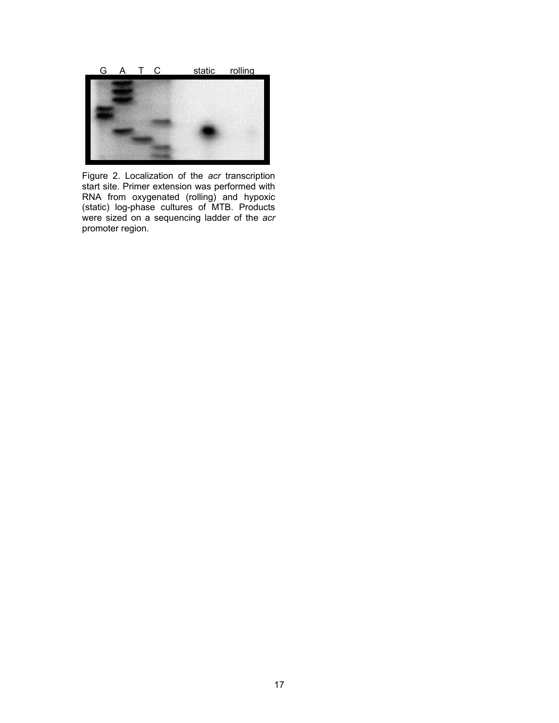

Figure 2. Localization of the *acr* transcription start site. Primer extension was performed with RNA from oxygenated (rolling) and hypoxic (static) log-phase cultures of MTB. Products were sized on a sequencing ladder of the *acr* promoter region.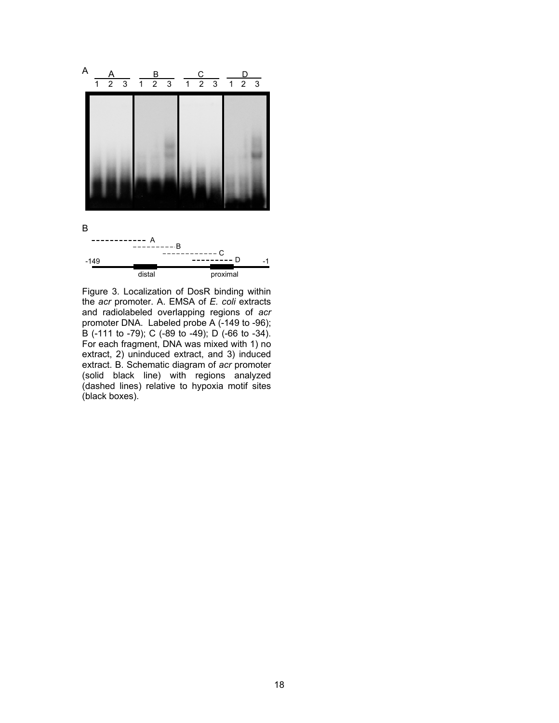

Figure 3. Localization of DosR binding within the *acr* promoter. A. EMSA of *E. coli* extracts and radiolabeled overlapping regions of *acr* promoter DNA. Labeled probe A (-149 to -96); B (-111 to -79); C (-89 to -49); D (-66 to -34). For each fragment, DNA was mixed with 1) no extract, 2) uninduced extract, and 3) induced extract. B. Schematic diagram of *acr* promoter (solid black line) with regions analyzed (dashed lines) relative to hypoxia motif sites (black boxes).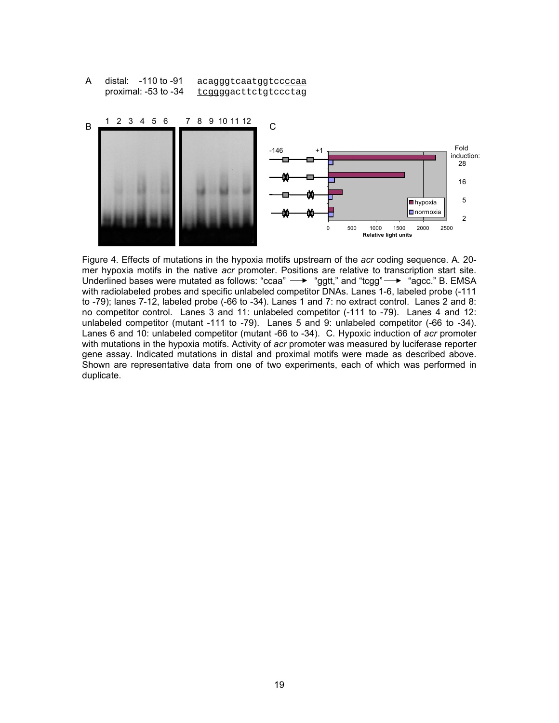distal: -110 to -91 acagggtcaatggtccccaa proximal: -53 to -34 tcggggacttctgtccctag A



Figure 4. Effects of mutations in the hypoxia motifs upstream of the *acr* coding sequence. A. 20 mer hypoxia motifs in the native *acr* promoter. Positions are relative to transcription start site. Underlined bases were mutated as follows: "ccaa"  $\rightarrow$  "ggtt," and "tcgg"  $\rightarrow$  "agcc." B. EMSA with radiolabeled probes and specific unlabeled competitor DNAs. Lanes 1-6, labeled probe (-111 to -79); lanes 7-12, labeled probe (-66 to -34). Lanes 1 and 7: no extract control. Lanes 2 and 8: no competitor control. Lanes 3 and 11: unlabeled competitor (-111 to -79). Lanes 4 and 12: unlabeled competitor (mutant -111 to -79). Lanes 5 and 9: unlabeled competitor (-66 to -34). Lanes 6 and 10: unlabeled competitor (mutant -66 to -34). C. Hypoxic induction of *acr* promoter with mutations in the hypoxia motifs. Activity of *acr* promoter was measured by luciferase reporter gene assay. Indicated mutations in distal and proximal motifs were made as described above. Shown are representative data from one of two experiments, each of which was performed in duplicate.